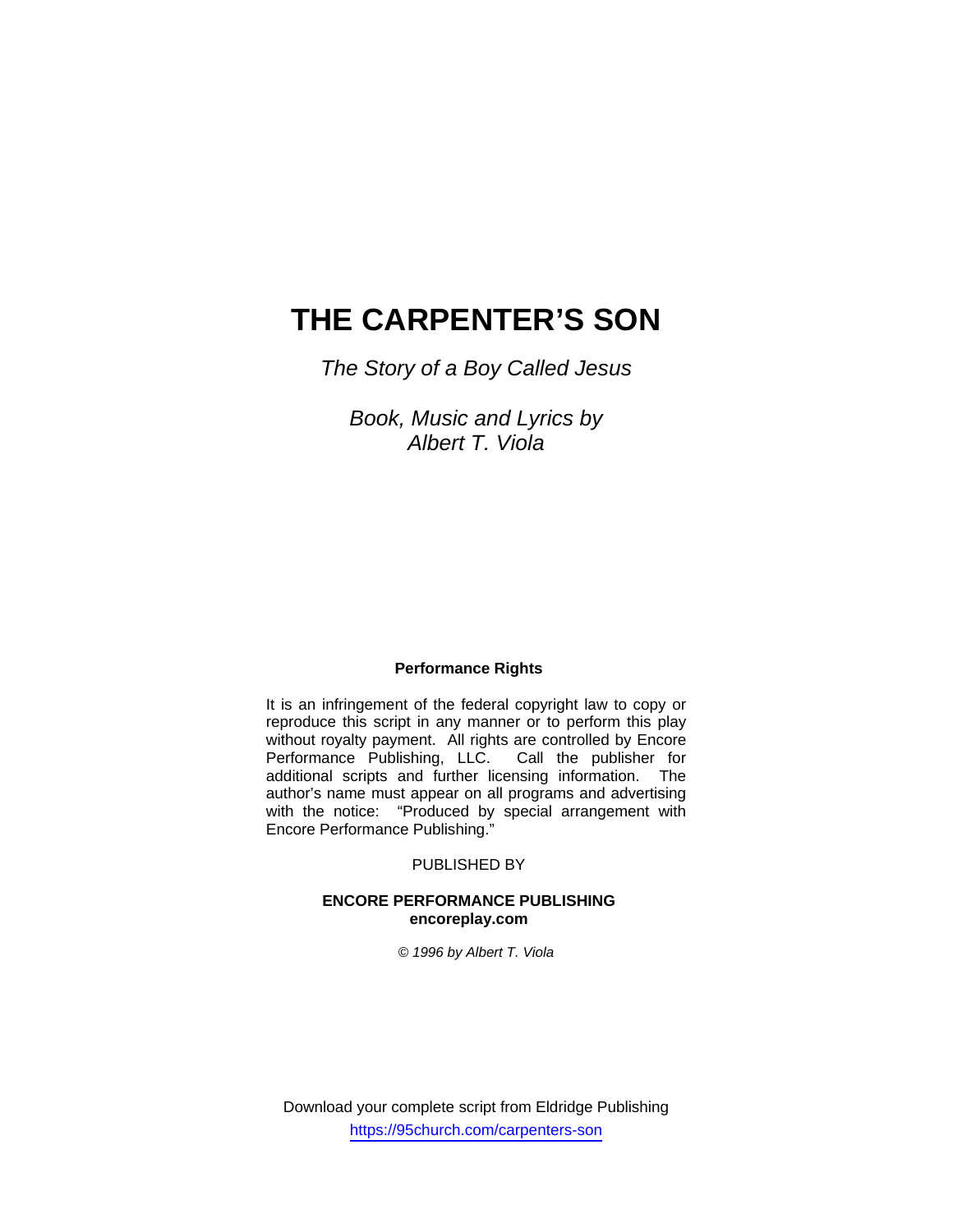# **THE CARPENTER'S SON**

*The Story of a Boy Called Jesus* 

*Book, Music and Lyrics by Albert T. Viola* 

#### **Performance Rights**

It is an infringement of the federal copyright law to copy or reproduce this script in any manner or to perform this play without royalty payment. All rights are controlled by Encore<br>Performance Publishing, LLC. Call the publisher for Performance Publishing, LLC. additional scripts and further licensing information. The author's name must appear on all programs and advertising with the notice: "Produced by special arrangement with Encore Performance Publishing."

### PUBLISHED BY

#### **ENCORE PERFORMANCE PUBLISHING encoreplay.com**

*© 1996 by Albert T. Viola* 

Download your complete script from Eldridge Publishing https://95church.com/carpenters-son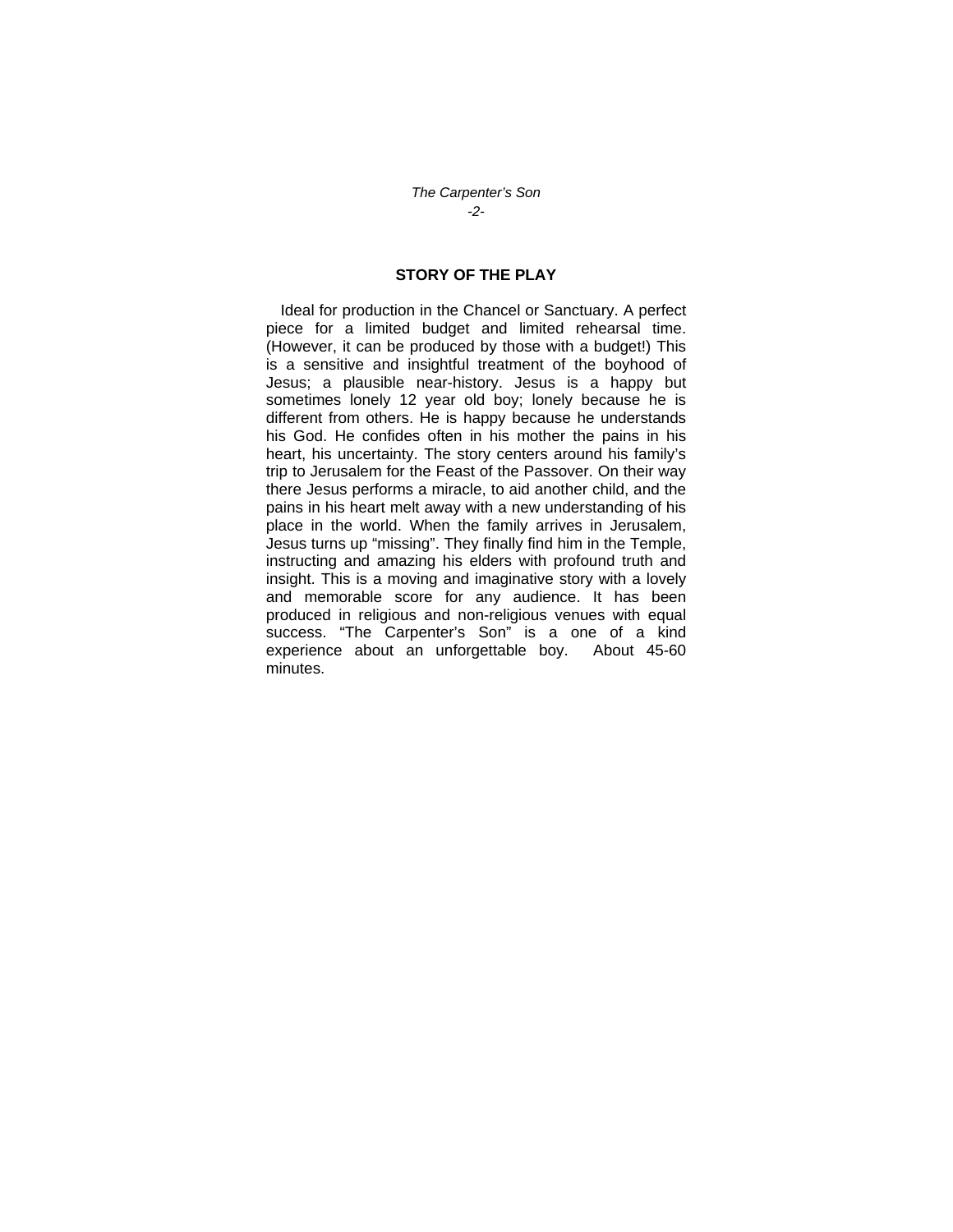#### *The Carpenter's Son -2-*

#### **STORY OF THE PLAY**

Ideal for production in the Chancel or Sanctuary. A perfect piece for a limited budget and limited rehearsal time. (However, it can be produced by those with a budget!) This is a sensitive and insightful treatment of the boyhood of Jesus; a plausible near-history. Jesus is a happy but sometimes lonely 12 year old boy; lonely because he is different from others. He is happy because he understands his God. He confides often in his mother the pains in his heart, his uncertainty. The story centers around his family's trip to Jerusalem for the Feast of the Passover. On their way there Jesus performs a miracle, to aid another child, and the pains in his heart melt away with a new understanding of his place in the world. When the family arrives in Jerusalem, Jesus turns up "missing". They finally find him in the Temple, instructing and amazing his elders with profound truth and insight. This is a moving and imaginative story with a lovely and memorable score for any audience. It has been produced in religious and non-religious venues with equal success. "The Carpenter's Son" is a one of a kind experience about an unforgettable boy. About 45-60 minutes.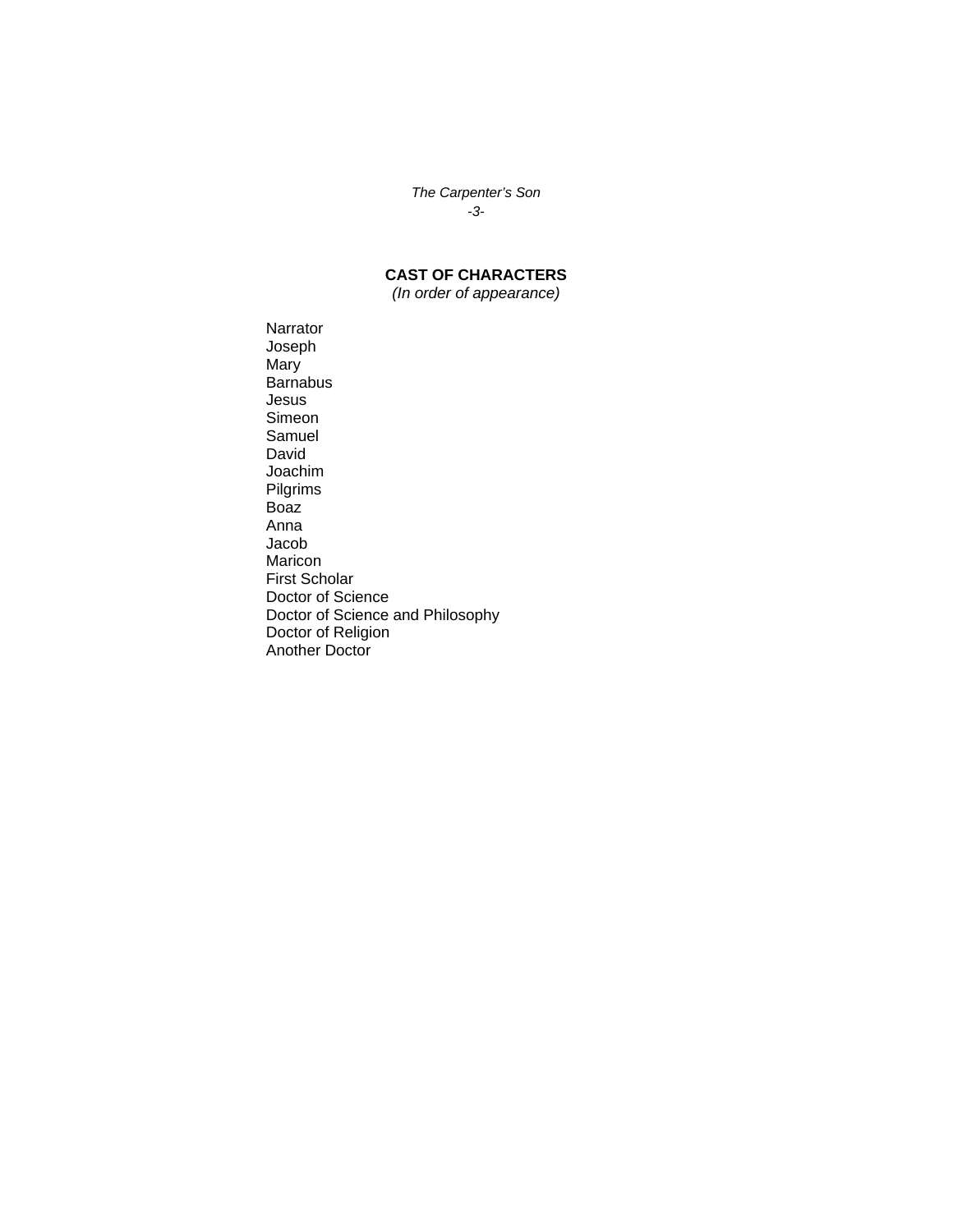*The Carpenter's Son -3-* 

**CAST OF CHARACTERS** 

*(In order of appearance)* 

Narrator Joseph Mary Barnabus Jesus Simeon Samuel David Joachim Pilgrims Boaz Anna Jacob Maricon First Scholar Doctor of Science Doctor of Science and Philosophy Doctor of Religion Another Doctor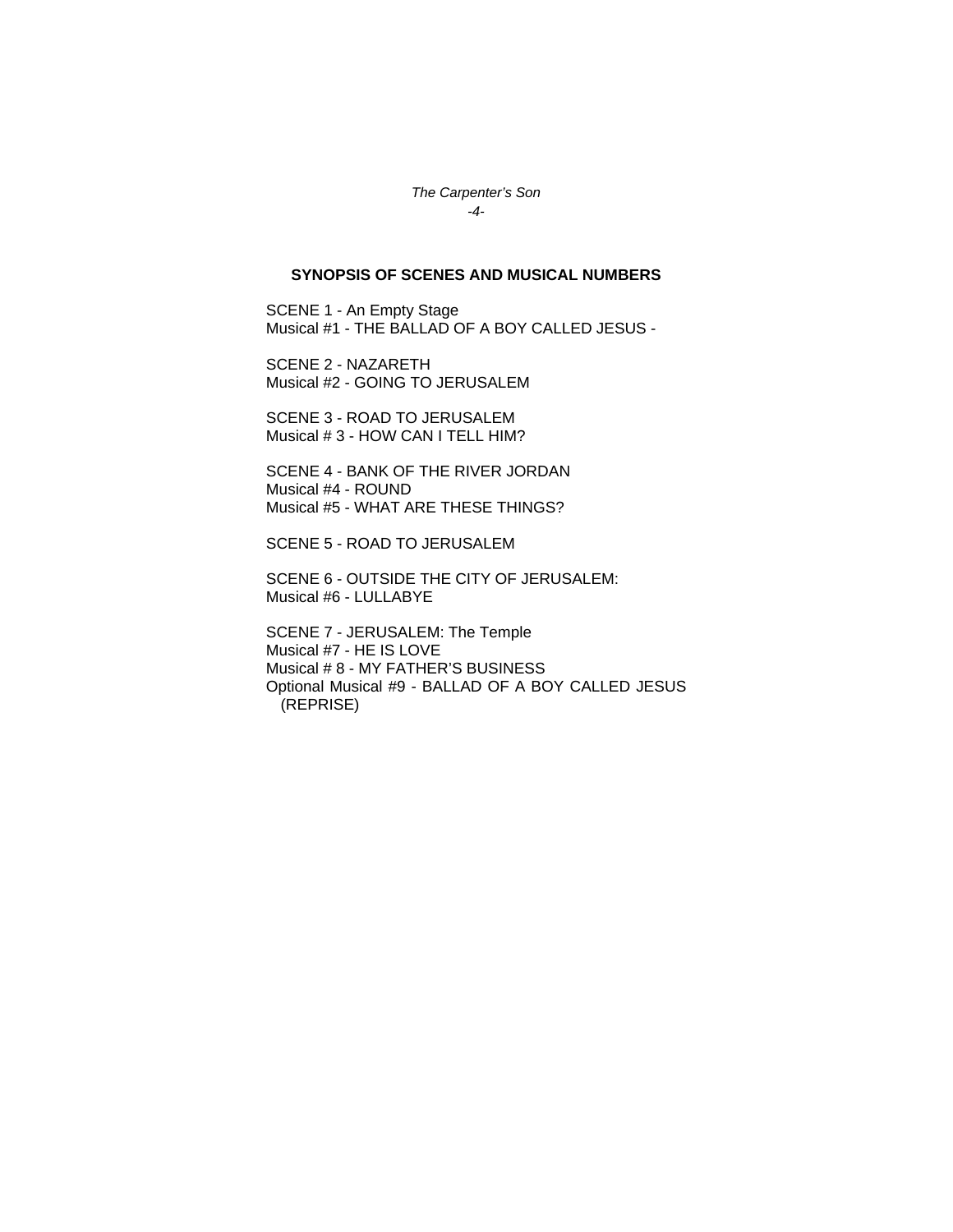*The Carpenter's Son -4-* 

#### **SYNOPSIS OF SCENES AND MUSICAL NUMBERS**

SCENE 1 - An Empty Stage Musical #1 - THE BALLAD OF A BOY CALLED JESUS -

SCENE 2 - NAZARETH Musical #2 - GOING TO JERUSALEM

SCENE 3 - ROAD TO JERUSALEM Musical # 3 - HOW CAN I TELL HIM?

SCENE 4 - BANK OF THE RIVER JORDAN Musical #4 - ROUND Musical #5 - WHAT ARE THESE THINGS?

SCENE 5 - ROAD TO JERUSALEM

SCENE 6 - OUTSIDE THE CITY OF JERUSALEM: Musical #6 - LULLABYE

SCENE 7 - JERUSALEM: The Temple Musical #7 - HE IS LOVE Musical # 8 - MY FATHER'S BUSINESS Optional Musical #9 - BALLAD OF A BOY CALLED JESUS (REPRISE)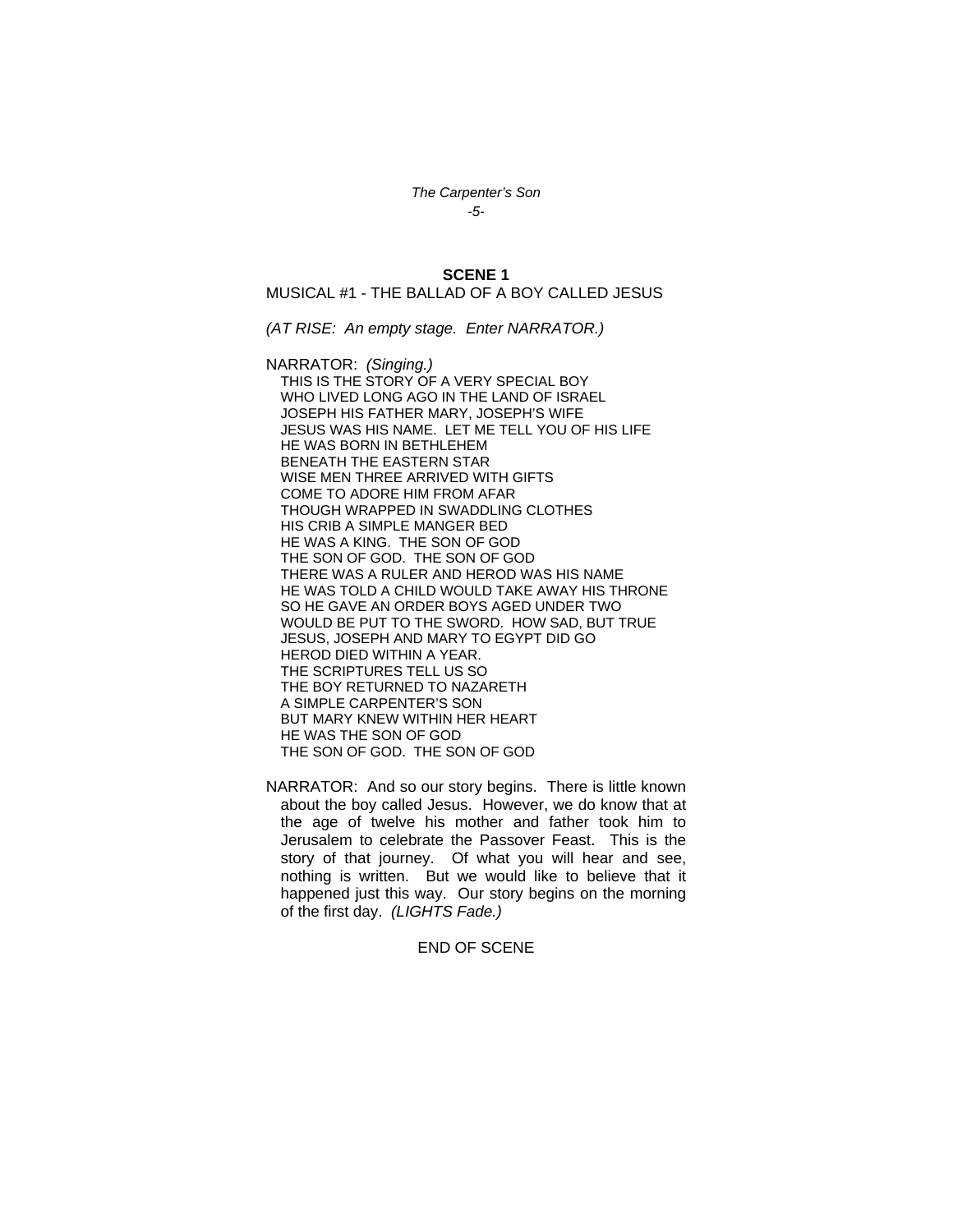*The Carpenter's Son -5-* 

**SCENE 1** 

MUSICAL #1 - THE BALLAD OF A BOY CALLED JESUS

*(AT RISE: An empty stage. Enter NARRATOR.)* 

NARRATOR: *(Singing.)*  THIS IS THE STORY OF A VERY SPECIAL BOY WHO LIVED LONG AGO IN THE LAND OF ISRAEL JOSEPH HIS FATHER MARY, JOSEPH'S WIFE JESUS WAS HIS NAME. LET ME TELL YOU OF HIS LIFE HE WAS BORN IN BETHLEHEM BENEATH THE EASTERN STAR WISE MEN THREE ARRIVED WITH GIFTS COME TO ADORE HIM FROM AFAR THOUGH WRAPPED IN SWADDLING CLOTHES HIS CRIB A SIMPLE MANGER BED HE WAS A KING. THE SON OF GOD THE SON OF GOD. THE SON OF GOD THERE WAS A RULER AND HEROD WAS HIS NAME HE WAS TOLD A CHILD WOULD TAKE AWAY HIS THRONE SO HE GAVE AN ORDER BOYS AGED UNDER TWO WOULD BE PUT TO THE SWORD. HOW SAD, BUT TRUE JESUS, JOSEPH AND MARY TO EGYPT DID GO HEROD DIED WITHIN A YEAR. THE SCRIPTURES TELL US SO THE BOY RETURNED TO NAZARETH A SIMPLE CARPENTER'S SON BUT MARY KNEW WITHIN HER HEART HE WAS THE SON OF GOD THE SON OF GOD. THE SON OF GOD

NARRATOR: And so our story begins. There is little known about the boy called Jesus. However, we do know that at the age of twelve his mother and father took him to Jerusalem to celebrate the Passover Feast. This is the story of that journey. Of what you will hear and see, nothing is written. But we would like to believe that it happened just this way. Our story begins on the morning of the first day. *(LIGHTS Fade.)* 

#### END OF SCENE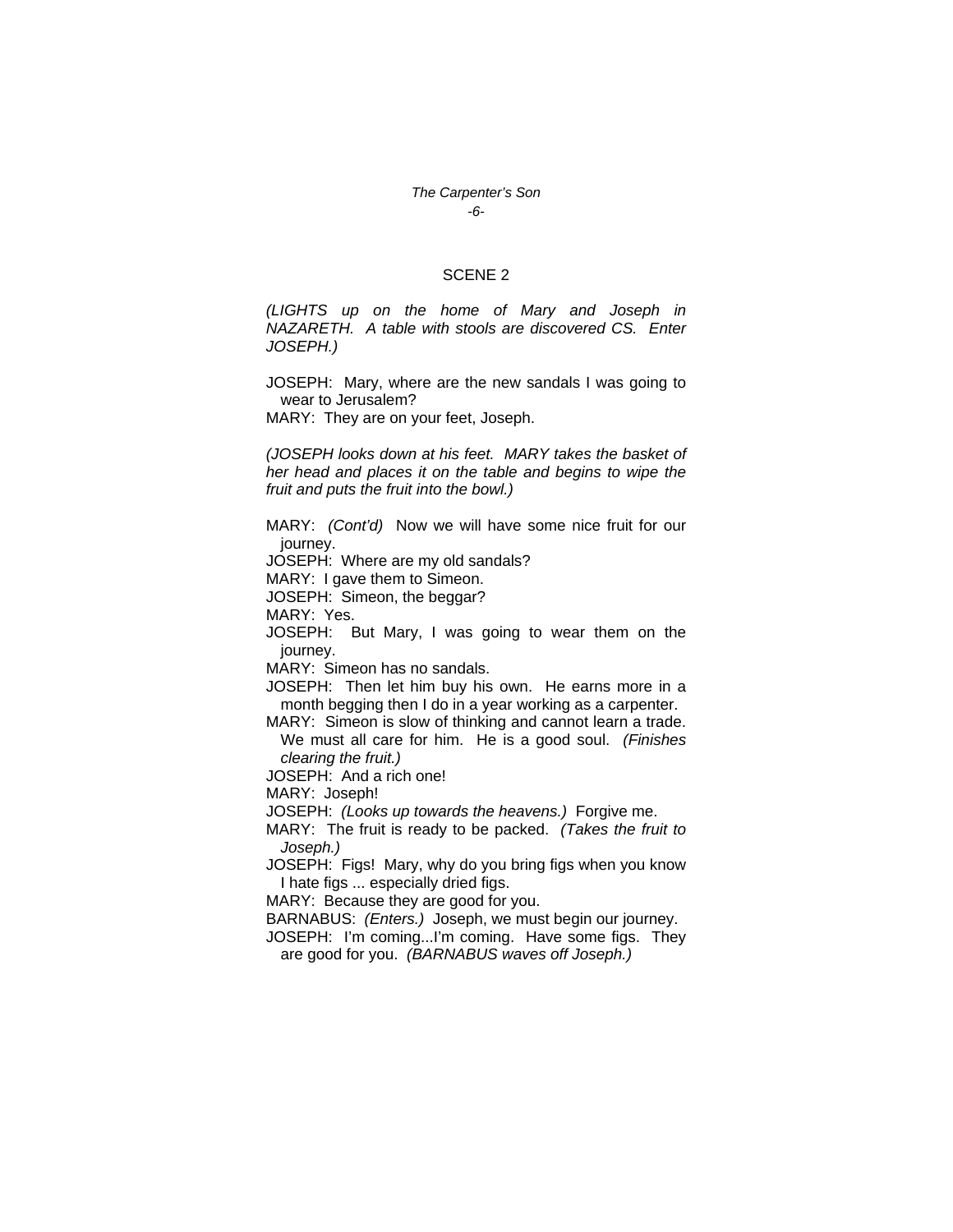### *The Carpenter's Son -6-*

#### SCENE 2

*(LIGHTS up on the home of Mary and Joseph in NAZARETH. A table with stools are discovered CS. Enter JOSEPH.)* 

JOSEPH: Mary, where are the new sandals I was going to wear to Jerusalem?

MARY: They are on your feet, Joseph.

*(JOSEPH looks down at his feet. MARY takes the basket of her head and places it on the table and begins to wipe the fruit and puts the fruit into the bowl.)* 

MARY: *(Cont'd)* Now we will have some nice fruit for our journey.

JOSEPH: Where are my old sandals?

MARY: I gave them to Simeon.

JOSEPH: Simeon, the beggar?

MARY: Yes.

JOSEPH: But Mary, I was going to wear them on the journey.

MARY: Simeon has no sandals.

JOSEPH: Then let him buy his own. He earns more in a month begging then I do in a year working as a carpenter.

MARY: Simeon is slow of thinking and cannot learn a trade. We must all care for him. He is a good soul. *(Finishes clearing the fruit.)* 

JOSEPH: And a rich one!

MARY: Joseph!

JOSEPH: *(Looks up towards the heavens.)* Forgive me.

MARY: The fruit is ready to be packed. *(Takes the fruit to Joseph.)* 

JOSEPH: Figs! Mary, why do you bring figs when you know I hate figs ... especially dried figs.

MARY: Because they are good for you.

BARNABUS: *(Enters.)* Joseph, we must begin our journey.

JOSEPH: I'm coming...I'm coming. Have some figs. They are good for you. *(BARNABUS waves off Joseph.)*